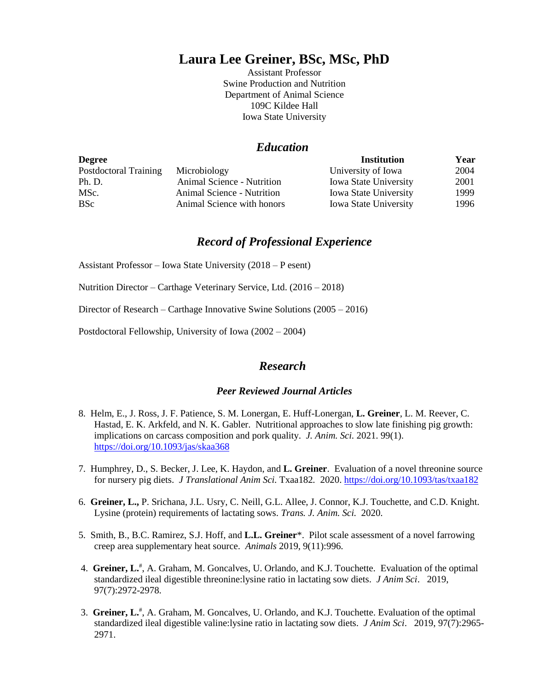# **Laura Lee Greiner, BSc, MSc, PhD**

Assistant Professor Swine Production and Nutrition Department of Animal Science 109C Kildee Hall Iowa State University

# *Education*

| <b>Degree</b>         |                            | <b>Institution</b>           | Year |
|-----------------------|----------------------------|------------------------------|------|
| Postdoctoral Training | Microbiology               | University of Iowa           | 2004 |
| Ph. D.                | Animal Science - Nutrition | <b>Iowa State University</b> | 2001 |
| MSc.                  | Animal Science - Nutrition | <b>Iowa State University</b> | 1999 |
| <b>BSc</b>            | Animal Science with honors | <b>Iowa State University</b> | 1996 |

# *Record of Professional Experience*

Assistant Professor – Iowa State University (2018 – P esent)

Nutrition Director – Carthage Veterinary Service, Ltd. (2016 – 2018)

Director of Research – Carthage Innovative Swine Solutions (2005 – 2016)

Postdoctoral Fellowship, University of Iowa (2002 – 2004)

# *Research*

## *Peer Reviewed Journal Articles*

- 8. Helm, E., J. Ross, J. F. Patience, S. M. Lonergan, E. Huff-Lonergan, **L. Greiner**, L. M. Reever, C. Hastad, E. K. Arkfeld, and N. K. Gabler. Nutritional approaches to slow late finishing pig growth: implications on carcass composition and pork quality. *J. Anim. Sci.* 2021. 99(1). <https://doi.org/10.1093/jas/skaa368>
- 7. Humphrey, D., S. Becker, J. Lee, K. Haydon, and **L. Greiner**. Evaluation of a novel threonine source for nursery pig diets. *J Translational Anim Sci.* Txaa182*.* 2020[. https://doi.org/10.1093/tas/txaa182](https://doi.org/10.1093/tas/txaa182)
- 6. **Greiner, L.,** P. Srichana, J.L. Usry, C. Neill, G.L. Allee, J. Connor, K.J. Touchette, and C.D. Knight. Lysine (protein) requirements of lactating sows. *Trans. J. Anim. Sci.* 2020.
- 5. Smith, B., B.C. Ramirez, S.J. Hoff, and **L.L. Greiner**\*. Pilot scale assessment of a novel farrowing creep area supplementary heat source. *Animals* 2019, 9(11):996.
- 4. Greiner, L.<sup>#</sup>, A. Graham, M. Goncalves, U. Orlando, and K.J. Touchette. Evaluation of the optimal standardized ileal digestible threonine:lysine ratio in lactating sow diets. *J Anim Sci*. 2019, 97(7):2972-2978.
- 3. **Greiner, L.**# , A. Graham, M. Goncalves, U. Orlando, and K.J. Touchette. Evaluation of the optimal standardized ileal digestible valine:lysine ratio in lactating sow diets. *J Anim Sci*. 2019, 97(7):2965- 2971.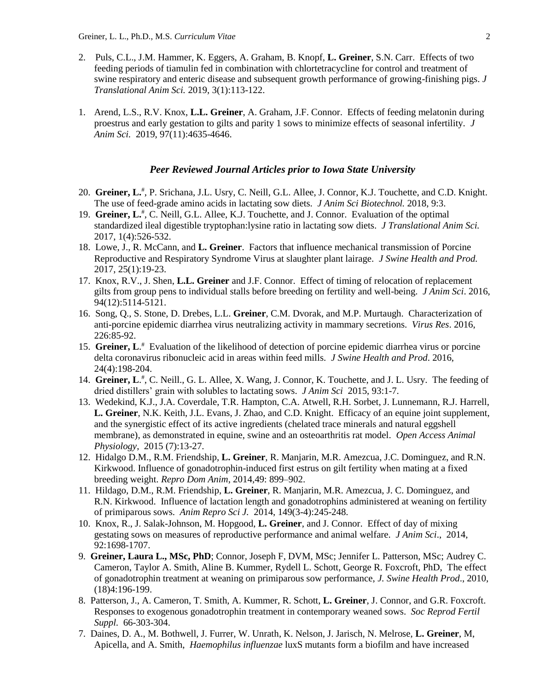- 2. Puls, C.L., J.M. Hammer, K. Eggers, A. Graham, B. Knopf, **L. Greiner**, S.N. Carr. Effects of two feeding periods of tiamulin fed in combination with chlortetracycline for control and treatment of swine respiratory and enteric disease and subsequent growth performance of growing-finishing pigs. *J Translational Anim Sci.* 2019, 3(1):113-122.
- 1. Arend, L.S., R.V. Knox, **L.L. Greiner**, A. Graham, J.F. Connor. Effects of feeding melatonin during proestrus and early gestation to gilts and parity 1 sows to minimize effects of seasonal infertility. *J Anim Sci.* 2019, 97(11):4635-4646.

## *Peer Reviewed Journal Articles prior to Iowa State University*

- 20. Greiner, L.<sup>#</sup>, P. Srichana, J.L. Usry, C. Neill, G.L. Allee, J. Connor, K.J. Touchette, and C.D. Knight. The use of feed-grade amino acids in lactating sow diets. *J Anim Sci Biotechnol.* 2018, 9:3.
- 19. Greiner, L.<sup>#</sup>, C. Neill, G.L. Allee, K.J. Touchette, and J. Connor. Evaluation of the optimal standardized ileal digestible tryptophan:lysine ratio in lactating sow diets. *J Translational Anim Sci.* 2017, 1(4):526-532.
- 18. Lowe, J., R. McCann, and **L. Greiner**. Factors that influence mechanical transmission of Porcine Reproductive and Respiratory Syndrome Virus at slaughter plant lairage. *J Swine Health and Prod.* 2017, 25(1):19-23.
- 17. Knox, R.V., J. Shen, **L.L. Greiner** and J.F. Connor. Effect of timing of relocation of replacement gilts from group pens to individual stalls before breeding on fertility and well-being. *J Anim Sci*. 2016, 94(12):5114-5121.
- 16. Song, Q., S. Stone, D. Drebes, L.L. **Greiner**, C.M. Dvorak, and M.P. Murtaugh. Characterization of anti-porcine epidemic diarrhea virus neutralizing activity in mammary secretions. *Virus Res*. 2016, 226:85-92.
- 15. **Greiner, L**. # Evaluation of the likelihood of detection of porcine epidemic diarrhea virus or porcine delta coronavirus ribonucleic acid in areas within feed mills. *J Swine Health and Prod*. 2016, 24(4):198-204.
- 14. Greiner, L.<sup>#</sup>, C. Neill., G. L. Allee, X. Wang, J. Connor, K. Touchette, and J. L. Usry. The feeding of dried distillers' grain with solubles to lactating sows. *J Anim Sci* 2015, 93:1-7.
- 13. Wedekind, K.J., J.A. Coverdale, T.R. Hampton, C.A. Atwell, R.H. Sorbet, J. Lunnemann, R.J. Harrell, **L. Greiner**, N.K. Keith, J.L. Evans, J. Zhao, and C.D. Knight. Efficacy of an equine joint supplement, and the synergistic effect of its active ingredients (chelated trace minerals and natural eggshell membrane), as demonstrated in equine, swine and an osteoarthritis rat model. *Open Access Animal Physiology*, 2015 (7):13-27.
- 12. Hidalgo D.M., R.M. Friendship, **L. Greiner**, R. Manjarin, M.R. Amezcua, J.C. Dominguez, and R.N. Kirkwood. Influence of gonadotrophin-induced first estrus on gilt fertility when mating at a fixed breeding weight. *Repro Dom Anim*, 2014,49: 899–902.
- 11. Hildago, D.M., R.M. Friendship, **L. Greiner**, R. Manjarin, M.R. Amezcua, J. C. Dominguez, and R.N. Kirkwood. Influence of lactation length and gonadotrophins administered at weaning on fertility of primiparous sows. *Anim Repro Sci J.* 2014, 149(3-4):245-248.
- 10. Knox, R., J. Salak-Johnson, M. Hopgood, **L. Greiner**, and J. Connor. Effect of day of mixing gestating sows on measures of reproductive performance and animal welfare. *J Anim Sci*., 2014, 92:1698-1707.
- 9. **Greiner, Laura L., MSc, PhD**; Connor, Joseph F, DVM, MSc; Jennifer L. Patterson, MSc; Audrey C. Cameron, Taylor A. Smith, Aline B. Kummer, Rydell L. Schott, George R. Foxcroft, PhD, The effect of gonadotrophin treatment at weaning on primiparous sow performance, *J. Swine Health Prod*., 2010, (18)4:196-199.
- 8. Patterson, J., A. Cameron, T. Smith, A. Kummer, R. Schott, **L. Greiner**, J. Connor, and G.R. Foxcroft. Responses to exogenous gonadotrophin treatment in contemporary weaned sows. *Soc Reprod Fertil Suppl.* 66-303-304.
- 7. Daines, D. A., M. Bothwell, J. Furrer, W. Unrath, K. Nelson, J. Jarisch, N. Melrose, **L. Greiner**, M, Apicella, and A. Smith, *Haemophilus influenzae* luxS mutants form a biofilm and have increased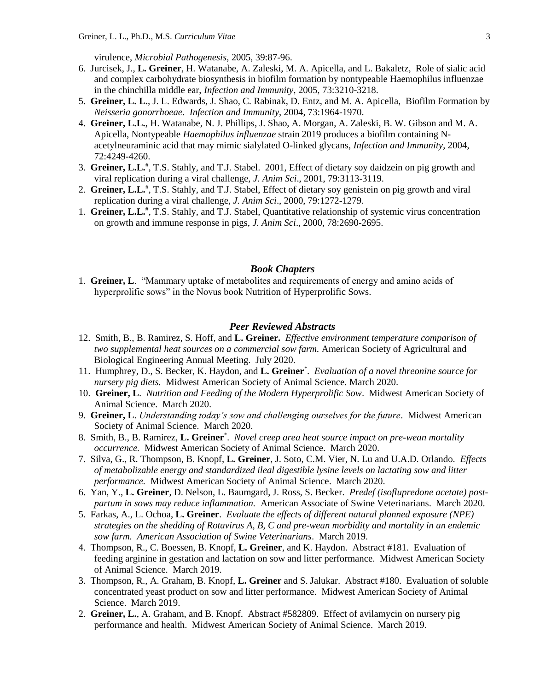virulence, *Microbial Pathogenesis*, 2005, 39:87-96.

- 6. Jurcisek, J., **L. Greiner**, H. Watanabe, A. Zaleski, M. A. Apicella, and L. Bakaletz, Role of sialic acid and complex carbohydrate biosynthesis in biofilm formation by nontypeable Haemophilus influenzae in the chinchilla middle ear, *Infection and Immunity*, 2005, 73:3210-3218.
- 5. **Greiner, L. L.**, J. L. Edwards, J. Shao, C. Rabinak, D. Entz, and M. A. Apicella, Biofilm Formation by *Neisseria gonorrhoeae*. *Infection and Immunity*, 2004, 73:1964-1970.
- 4. **Greiner, L.L.**, H. Watanabe, N. J. Phillips, J. Shao, A. Morgan, A. Zaleski, B. W. Gibson and M. A. Apicella, Nontypeable *Haemophilus influenzae* strain 2019 produces a biofilm containing Nacetylneuraminic acid that may mimic sialylated O-linked glycans, *Infection and Immunity*, 2004, 72:4249-4260.
- 3. **Greiner, L.L.**# , T.S. Stahly, and T.J. Stabel. 2001, Effect of dietary soy daidzein on pig growth and viral replication during a viral challenge, *J. Anim Sci*., 2001, 79:3113-3119.
- 2. Greiner, L.L.<sup>#</sup>, T.S. Stahly, and T.J. Stabel, Effect of dietary soy genistein on pig growth and viral replication during a viral challenge, *J. Anim Sci*., 2000, 79:1272-1279.
- 1. Greiner, L.L.<sup>#</sup>, T.S. Stahly, and T.J. Stabel, Quantitative relationship of systemic virus concentration on growth and immune response in pigs, *J. Anim Sci*., 2000, 78:2690-2695.

#### *Book Chapters*

1. **Greiner, L**. "Mammary uptake of metabolites and requirements of energy and amino acids of hyperprolific sows" in the Novus book Nutrition of Hyperprolific Sows.

## *Peer Reviewed Abstracts*

- 12. Smith, B., B. Ramirez, S. Hoff, and **L. Greiner.** *Effective environment temperature comparison of two supplemental heat sources on a commercial sow farm.* American Society of Agricultural and Biological Engineering Annual Meeting. July 2020.
- 11. Humphrey, D., S. Becker, K. Haydon, and **L. Greiner**\* . *Evaluation of a novel threonine source for nursery pig diets.* Midwest American Society of Animal Science. March 2020.
- 10. **Greiner, L**. *Nutrition and Feeding of the Modern Hyperprolific Sow*. Midwest American Society of Animal Science. March 2020.
- 9. **Greiner, L**. *Understanding today's sow and challenging ourselves for the future*. Midwest American Society of Animal Science. March 2020.
- 8. Smith, B., B. Ramirez, **L. Greiner**\* . *Novel creep area heat source impact on pre-wean mortality occurrence.* Midwest American Society of Animal Science. March 2020.
- 7. Silva, G., R. Thompson, B. Knopf, **L. Greiner**, J. Soto, C.M. Vier, N. Lu and U.A.D. Orlando. *Effects of metabolizable energy and standardized ileal digestible lysine levels on lactating sow and litter performance.* Midwest American Society of Animal Science. March 2020.
- 6. Yan, Y., **L. Greiner**, D. Nelson, L. Baumgard, J. Ross, S. Becker. *Predef (isoflupredone acetate) postpartum in sows may reduce inflammation.* American Associate of Swine Veterinarians. March 2020.
- 5. Farkas, A., L. Ochoa, **L. Greiner**. *Evaluate the effects of different natural planned exposure (NPE) strategies on the shedding of Rotavirus A, B, C and pre-wean morbidity and mortality in an endemic sow farm. American Association of Swine Veterinarians*. March 2019.
- 4. Thompson, R., C. Boessen, B. Knopf, **L. Greiner**, and K. Haydon. Abstract #181. Evaluation of feeding arginine in gestation and lactation on sow and litter performance. Midwest American Society of Animal Science. March 2019.
- 3. Thompson, R., A. Graham, B. Knopf, **L. Greiner** and S. Jalukar. Abstract #180. Evaluation of soluble concentrated yeast product on sow and litter performance. Midwest American Society of Animal Science. March 2019.
- 2. **Greiner, L.**, A. Graham, and B. Knopf. Abstract #582809. Effect of avilamycin on nursery pig performance and health. Midwest American Society of Animal Science. March 2019.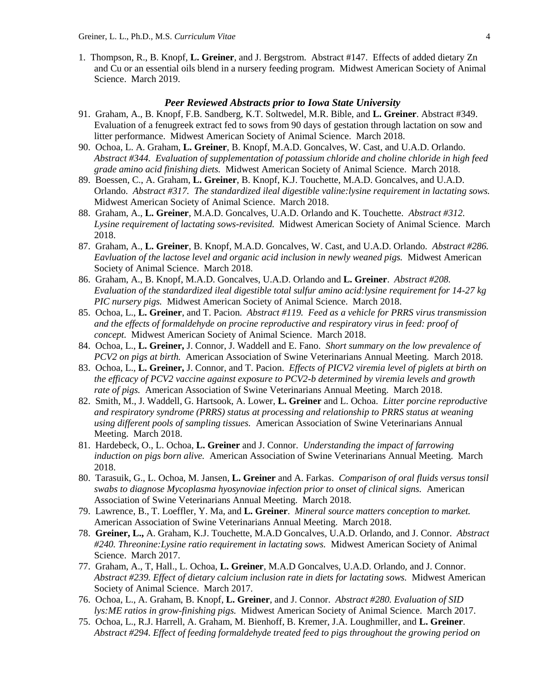1. Thompson, R., B. Knopf, **L. Greiner**, and J. Bergstrom. Abstract #147. Effects of added dietary Zn and Cu or an essential oils blend in a nursery feeding program. Midwest American Society of Animal Science. March 2019.

## *Peer Reviewed Abstracts prior to Iowa State University*

- 91. Graham, A., B. Knopf, F.B. Sandberg, K.T. Soltwedel, M.R. Bible, and **L. Greiner**. Abstract #349. Evaluation of a fenugreek extract fed to sows from 90 days of gestation through lactation on sow and litter performance. Midwest American Society of Animal Science. March 2018.
- 90. Ochoa, L. A. Graham, **L. Greiner**, B. Knopf, M.A.D. Goncalves, W. Cast, and U.A.D. Orlando. *Abstract #344. Evaluation of supplementation of potassium chloride and choline chloride in high feed grade amino acid finishing diets.* Midwest American Society of Animal Science. March 2018.
- 89. Boessen, C., A. Graham, **L. Greiner**, B. Knopf, K.J. Touchette, M.A.D. Goncalves, and U.A.D. Orlando. *Abstract #317. The standardized ileal digestible valine:lysine requirement in lactating sows.* Midwest American Society of Animal Science. March 2018.
- 88. Graham, A., **L. Greiner**, M.A.D. Goncalves, U.A.D. Orlando and K. Touchette. *Abstract #312. Lysine requirement of lactating sows-revisited.* Midwest American Society of Animal Science. March 2018.
- 87. Graham, A., **L. Greiner**, B. Knopf, M.A.D. Goncalves, W. Cast, and U.A.D. Orlando. *Abstract #286. Eavluation of the lactose level and organic acid inclusion in newly weaned pigs.* Midwest American Society of Animal Science. March 2018.
- 86. Graham, A., B. Knopf, M.A.D. Goncalves, U.A.D. Orlando and **L. Greiner**. *Abstract #208. Evaluation of the standardized ileal digestible total sulfur amino acid:lysine requirement for 14-27 kg PIC nursery pigs.* Midwest American Society of Animal Science. March 2018.
- 85. Ochoa, L., **L. Greiner**, and T. Pacion. *Abstract #119. Feed as a vehicle for PRRS virus transmission and the effects of formaldehyde on procine reproductive and respiratory virus in feed: proof of concept.* Midwest American Society of Animal Science. March 2018.
- 84. Ochoa, L., **L. Greiner,** J. Connor, J. Waddell and E. Fano. *Short summary on the low prevalence of PCV2 on pigs at birth.* American Association of Swine Veterinarians Annual Meeting. March 2018.
- 83. Ochoa, L., **L. Greiner,** J. Connor, and T. Pacion. *Effects of PICV2 viremia level of piglets at birth on the efficacy of PCV2 vaccine against exposure to PCV2-b determined by viremia levels and growth rate of pigs.* American Association of Swine Veterinarians Annual Meeting. March 2018.
- 82. Smith, M., J. Waddell, G. Hartsook, A. Lower, **L. Greiner** and L. Ochoa. *Litter porcine reproductive and respiratory syndrome (PRRS) status at processing and relationship to PRRS status at weaning using different pools of sampling tissues.* American Association of Swine Veterinarians Annual Meeting. March 2018.
- 81. Hardebeck, O., L. Ochoa, **L. Greiner** and J. Connor. *Understanding the impact of farrowing induction on pigs born alive.* American Association of Swine Veterinarians Annual Meeting. March 2018.
- 80. Tarasuik, G., L. Ochoa, M. Jansen, **L. Greiner** and A. Farkas. *Comparison of oral fluids versus tonsil swabs to diagnose Mycoplasma hyosynoviae infection prior to onset of clinical signs.* American Association of Swine Veterinarians Annual Meeting. March 2018.
- 79. Lawrence, B., T. Loeffler, Y. Ma, and **L. Greiner**. *Mineral source matters conception to market.* American Association of Swine Veterinarians Annual Meeting. March 2018.
- 78. **Greiner, L.,** A. Graham, K.J. Touchette, M.A.D Goncalves, U.A.D. Orlando, and J. Connor. *Abstract #240. Threonine:Lysine ratio requirement in lactating sows.* Midwest American Society of Animal Science. March 2017.
- 77. Graham, A., T, Hall., L. Ochoa, **L. Greiner**, M.A.D Goncalves, U.A.D. Orlando, and J. Connor. *Abstract #239. Effect of dietary calcium inclusion rate in diets for lactating sows.* Midwest American Society of Animal Science. March 2017.
- 76. Ochoa, L., A. Graham, B. Knopf, **L. Greiner**, and J. Connor. *Abstract #280. Evaluation of SID lys:ME ratios in grow-finishing pigs.* Midwest American Society of Animal Science. March 2017.
- 75. Ochoa, L., R.J. Harrell, A. Graham, M. Bienhoff, B. Kremer, J.A. Loughmiller, and **L. Greiner**. *Abstract #294. Effect of feeding formaldehyde treated feed to pigs throughout the growing period on*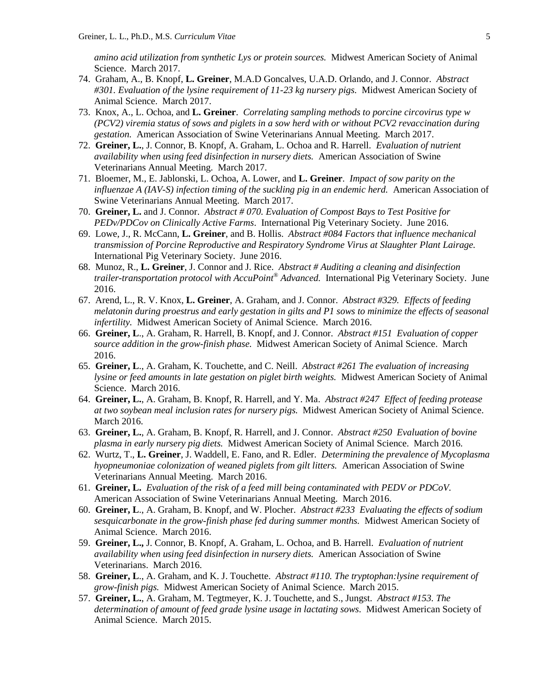*amino acid utilization from synthetic Lys or protein sources.* Midwest American Society of Animal Science. March 2017.

- 74. Graham, A., B. Knopf, **L. Greiner**, M.A.D Goncalves, U.A.D. Orlando, and J. Connor. *Abstract #301. Evaluation of the lysine requirement of 11-23 kg nursery pigs.* Midwest American Society of Animal Science. March 2017.
- 73. Knox, A., L. Ochoa, and **L. Greiner**. *Correlating sampling methods to porcine circovirus type w (PCV2) viremia status of sows and piglets in a sow herd with or without PCV2 revaccination during gestation.* American Association of Swine Veterinarians Annual Meeting. March 2017.
- 72. **Greiner, L.**, J. Connor, B. Knopf, A. Graham, L. Ochoa and R. Harrell. *Evaluation of nutrient availability when using feed disinfection in nursery diets.* American Association of Swine Veterinarians Annual Meeting. March 2017.
- 71. Bloemer, M., E. Jablonski, L. Ochoa, A. Lower, and **L. Greiner**. *Impact of sow parity on the influenzae A (IAV-S) infection timing of the suckling pig in an endemic herd.* American Association of Swine Veterinarians Annual Meeting. March 2017.
- 70. **Greiner, L.** and J. Connor. *Abstract # 070. Evaluation of Compost Bays to Test Positive for PEDv/PDCov on Clinically Active Farms*. International Pig Veterinary Society. June 2016.
- 69. Lowe, J., R. McCann, **L. Greiner**, and B. Hollis. *Abstract #084 Factors that influence mechanical transmission of Porcine Reproductive and Respiratory Syndrome Virus at Slaughter Plant Lairage.*  International Pig Veterinary Society. June 2016.
- 68. Munoz, R., **L. Greiner**, J. Connor and J. Rice. *Abstract # Auditing a cleaning and disinfection trailer-transportation protocol with AccuPoint® Advanced.* International Pig Veterinary Society. June 2016.
- 67. Arend, L., R. V. Knox, **L. Greiner**, A. Graham, and J. Connor. *Abstract #329. Effects of feeding melatonin during proestrus and early gestation in gilts and P1 sows to minimize the effects of seasonal infertility.* Midwest American Society of Animal Science. March 2016.
- 66. **Greiner, L**., A. Graham, R. Harrell, B. Knopf, and J. Connor. *Abstract #151 Evaluation of copper source addition in the grow-finish phase.* Midwest American Society of Animal Science. March 2016.
- 65. **Greiner, L**., A. Graham, K. Touchette, and C. Neill. *Abstract #261 The evaluation of increasing lysine or feed amounts in late gestation on piglet birth weights.* Midwest American Society of Animal Science. March 2016.
- 64. **Greiner, L.**, A. Graham, B. Knopf, R. Harrell, and Y. Ma. *Abstract #247 Effect of feeding protease at two soybean meal inclusion rates for nursery pigs.* Midwest American Society of Animal Science. March 2016.
- 63. **Greiner, L.**, A. Graham, B. Knopf, R. Harrell, and J. Connor. *Abstract #250 Evaluation of bovine plasma in early nursery pig diets.* Midwest American Society of Animal Science. March 2016.
- 62. Wurtz, T., **L. Greiner**, J. Waddell, E. Fano, and R. Edler. *Determining the prevalence of Mycoplasma hyopneumoniae colonization of weaned piglets from gilt litters.* American Association of Swine Veterinarians Annual Meeting. March 2016.
- 61. **Greiner, L.** *Evaluation of the risk of a feed mill being contaminated with PEDV or PDCoV.* American Association of Swine Veterinarians Annual Meeting. March 2016.
- 60. **Greiner, L**., A. Graham, B. Knopf, and W. Plocher. *Abstract #233 Evaluating the effects of sodium sesquicarbonate in the grow-finish phase fed during summer months.* Midwest American Society of Animal Science. March 2016.
- 59. **Greiner, L.,** J. Connor, B. Knopf, A. Graham, L. Ochoa, and B. Harrell. *Evaluation of nutrient availability when using feed disinfection in nursery diets.* American Association of Swine Veterinarians. March 2016.
- 58. **Greiner, L**., A. Graham, and K. J. Touchette. *Abstract #110. The tryptophan:lysine requirement of grow-finish pigs.* Midwest American Society of Animal Science. March 2015.
- 57. **Greiner, L.**, A. Graham, M. Tegtmeyer, K. J. Touchette, and S., Jungst. *Abstract #153. The determination of amount of feed grade lysine usage in lactating sows.* Midwest American Society of Animal Science. March 2015.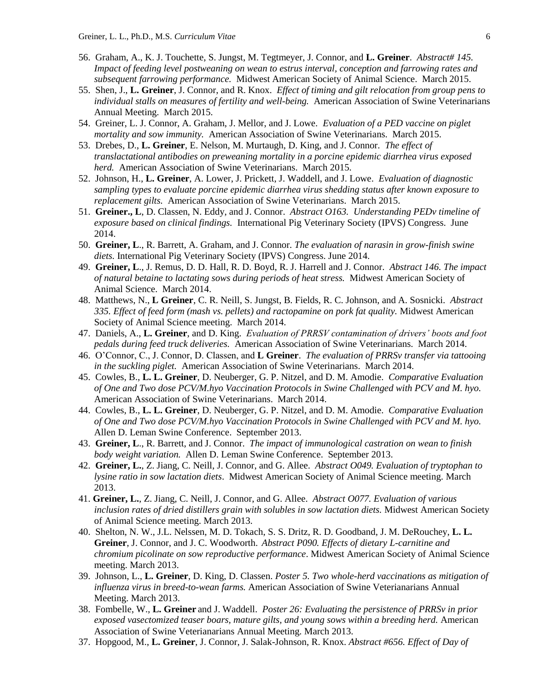- 56. Graham, A., K. J. Touchette, S. Jungst, M. Tegtmeyer, J. Connor, and **L. Greiner**. *Abstract# 145. Impact of feeding level postweaning on wean to estrus interval, conception and farrowing rates and subsequent farrowing performance.* Midwest American Society of Animal Science. March 2015.
- 55. Shen, J., **L. Greiner**, J. Connor, and R. Knox. *Effect of timing and gilt relocation from group pens to individual stalls on measures of fertility and well-being.* American Association of Swine Veterinarians Annual Meeting. March 2015.
- 54. Greiner, L. J. Connor, A. Graham, J. Mellor, and J. Lowe. *Evaluation of a PED vaccine on piglet mortality and sow immunity.* American Association of Swine Veterinarians. March 2015.
- 53. Drebes, D., **L. Greiner**, E. Nelson, M. Murtaugh, D. King, and J. Connor. *The effect of translactational antibodies on preweaning mortality in a porcine epidemic diarrhea virus exposed herd.* American Association of Swine Veterinarians. March 2015.
- 52. Johnson, H., **L. Greiner**, A. Lower, J. Prickett, J. Waddell, and J. Lowe. *Evaluation of diagnostic sampling types to evaluate porcine epidemic diarrhea virus shedding status after known exposure to replacement gilts.* American Association of Swine Veterinarians. March 2015.
- 51. **Greiner., L**, D. Classen, N. Eddy, and J. Connor. *Abstract O163. Understanding PEDv timeline of exposure based on clinical findings.* International Pig Veterinary Society (IPVS) Congress. June 2014.
- 50. **Greiner, L**., R. Barrett, A. Graham, and J. Connor. *The evaluation of narasin in grow-finish swine diets.* International Pig Veterinary Society (IPVS) Congress. June 2014.
- 49. **Greiner, L**., J. Remus, D. D. Hall, R. D. Boyd, R. J. Harrell and J. Connor. *Abstract 146. The impact of natural betaine to lactating sows during periods of heat stress.* Midwest American Society of Animal Science. March 2014.
- 48. Matthews, N., **L Greiner**, C. R. Neill, S. Jungst, B. Fields, R. C. Johnson, and A. Sosnicki. *Abstract 335. Effect of feed form (mash vs. pellets) and ractopamine on pork fat quality.* Midwest American Society of Animal Science meeting. March 2014.
- 47. Daniels, A., **L. Greiner**, and D. King. *Evaluation of PRRSV contamination of drivers' boots and foot pedals during feed truck deliveries.* American Association of Swine Veterinarians. March 2014.
- 46. O'Connor, C., J. Connor, D. Classen, and **L Greiner**. *The evaluation of PRRSv transfer via tattooing in the suckling piglet.* American Association of Swine Veterinarians. March 2014.
- 45. Cowles, B., **L. L. Greiner**, D. Neuberger, G. P. Nitzel, and D. M. Amodie. *Comparative Evaluation of One and Two dose PCV/M.hyo Vaccination Protocols in Swine Challenged with PCV and M. hyo.* American Association of Swine Veterinarians. March 2014.
- 44. Cowles, B., **L. L. Greiner**, D. Neuberger, G. P. Nitzel, and D. M. Amodie. *Comparative Evaluation of One and Two dose PCV/M.hyo Vaccination Protocols in Swine Challenged with PCV and M. hyo.* Allen D. Leman Swine Conference. September 2013.
- 43. **Greiner, L**., R. Barrett, and J. Connor. *The impact of immunological castration on wean to finish body weight variation.* Allen D. Leman Swine Conference. September 2013.
- 42. **Greiner, L.**, Z. Jiang, C. Neill, J. Connor, and G. Allee. *Abstract O049. Evaluation of tryptophan to lysine ratio in sow lactation diets*. Midwest American Society of Animal Science meeting. March 2013.
- 41. **Greiner, L.**, Z. Jiang, C. Neill, J. Connor, and G. Allee. *Abstract O077. Evaluation of various inclusion rates of dried distillers grain with solubles in sow lactation diets.* Midwest American Society of Animal Science meeting. March 2013.
- 40. Shelton, N. W., J.L. Nelssen, M. D. Tokach, S. S. Dritz, R. D. Goodband, J. M. DeRouchey, **L. L. Greiner**, J. Connor, and J. C. Woodworth. *Abstract P090. Effects of dietary L-carnitine and chromium picolinate on sow reproductive performance*. Midwest American Society of Animal Science meeting. March 2013.
- 39. Johnson, L., **L. Greiner**, D. King, D. Classen. *Poster 5. Two whole-herd vaccinations as mitigation of influenza virus in breed-to-wean farms.* American Association of Swine Veterianarians Annual Meeting. March 2013.
- 38. Fombelle, W., **L. Greiner** and J. Waddell. *Poster 26: Evaluating the persistence of PRRSv in prior exposed vasectomized teaser boars, mature gilts, and young sows within a breeding herd.* American Association of Swine Veterianarians Annual Meeting. March 2013.
- 37. Hopgood, M., **L. Greiner**, J. Connor, J. Salak-Johnson, R. Knox. *Abstract #656. Effect of Day of*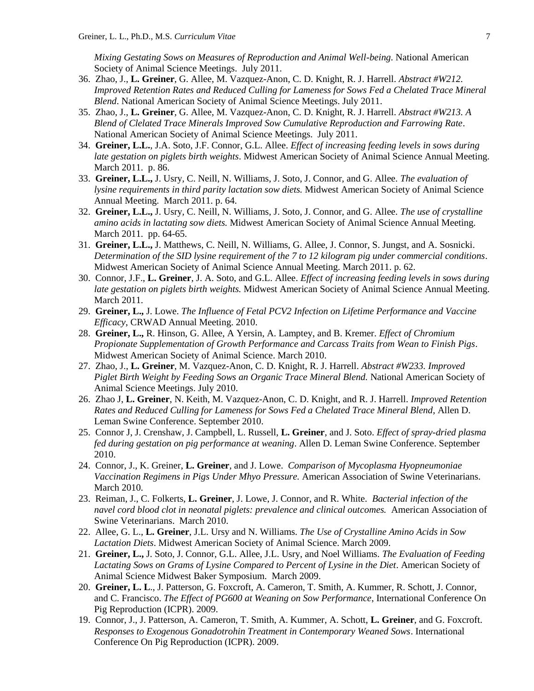*Mixing Gestating Sows on Measures of Reproduction and Animal Well-being*. National American Society of Animal Science Meetings. July 2011.

- 36. Zhao, J., **L. Greiner**, G. Allee, M. Vazquez-Anon, C. D. Knight, R. J. Harrell. *Abstract #W212. Improved Retention Rates and Reduced Culling for Lameness for Sows Fed a Chelated Trace Mineral Blend*. National American Society of Animal Science Meetings. July 2011.
- 35. Zhao, J., **L. Greiner**, G. Allee, M. Vazquez-Anon, C. D. Knight, R. J. Harrell. *Abstract #W213. A Blend of Clelated Trace Minerals Improved Sow Cumulative Reproduction and Farrowing Rate*. National American Society of Animal Science Meetings. July 2011.
- 34. **Greiner, L.L.**, J.A. Soto, J.F. Connor, G.L. Allee. *Effect of increasing feeding levels in sows during late gestation on piglets birth weights*. Midwest American Society of Animal Science Annual Meeting. March 2011. p. 86.
- 33. **Greiner, L.L.,** J. Usry, C. Neill, N. Williams, J. Soto, J. Connor, and G. Allee. *The evaluation of lysine requirements in third parity lactation sow diets.* Midwest American Society of Animal Science Annual Meeting. March 2011. p. 64.
- 32. **Greiner, L.L.,** J. Usry, C. Neill, N. Williams, J. Soto, J. Connor, and G. Allee. *The use of crystalline amino acids in lactating sow diets.* Midwest American Society of Animal Science Annual Meeting. March 2011. pp. 64-65.
- 31. **Greiner, L.L.,** J. Matthews, C. Neill, N. Williams, G. Allee, J. Connor, S. Jungst, and A. Sosnicki. *Determination of the SID lysine requirement of the 7 to 12 kilogram pig under commercial conditions*. Midwest American Society of Animal Science Annual Meeting. March 2011. p. 62.
- 30. Connor, J.F., **L. Greiner**, J. A. Soto, and G.L. Allee. *Effect of increasing feeding levels in sows during late gestation on piglets birth weights.* Midwest American Society of Animal Science Annual Meeting. March 2011.
- 29. **Greiner, L.,** J. Lowe. *The Influence of Fetal PCV2 Infection on Lifetime Performance and Vaccine Efficacy*, CRWAD Annual Meeting. 2010.
- 28. **Greiner, L.,** R. Hinson, G. Allee, A Yersin, A. Lamptey, and B. Kremer. *Effect of Chromium Propionate Supplementation of Growth Performance and Carcass Traits from Wean to Finish Pigs*. Midwest American Society of Animal Science. March 2010.
- 27. Zhao, J., **L. Greiner**, M. Vazquez-Anon, C. D. Knight, R. J. Harrell. *Abstract #W233. Improved Piglet Birth Weight by Feeding Sows an Organic Trace Mineral Blend.* National American Society of Animal Science Meetings. July 2010.
- 26. Zhao J, **L. Greiner**, N. Keith, M. Vazquez-Anon, C. D. Knight, and R. J. Harrell. *Improved Retention Rates and Reduced Culling for Lameness for Sows Fed a Chelated Trace Mineral Blend*, Allen D. Leman Swine Conference. September 2010.
- 25. Connor J, J. Crenshaw, J. Campbell, L. Russell, **L. Greiner**, and J. Soto. *Effect of spray-dried plasma fed during gestation on pig performance at weaning*. Allen D. Leman Swine Conference. September 2010.
- 24. Connor, J., K. Greiner, **L. Greiner**, and J. Lowe. *Comparison of Mycoplasma Hyopneumoniae Vaccination Regimens in Pigs Under Mhyo Pressure.* American Association of Swine Veterinarians. March 2010.
- 23. Reiman, J., C. Folkerts, **L. Greiner**, J. Lowe, J. Connor, and R. White. *Bacterial infection of the navel cord blood clot in neonatal piglets: prevalence and clinical outcomes.* American Association of Swine Veterinarians. March 2010.
- 22. Allee, G. L., **L. Greiner**, J.L. Ursy and N. Williams. *The Use of Crystalline Amino Acids in Sow Lactation Diets*. Midwest American Society of Animal Science. March 2009.
- 21. **Greiner, L.,** J. Soto, J. Connor, G.L. Allee, J.L. Usry, and Noel Williams. *The Evaluation of Feeding Lactating Sows on Grams of Lysine Compared to Percent of Lysine in the Diet*. American Society of Animal Science Midwest Baker Symposium. March 2009.
- 20. **Greiner, L. L**., J. Patterson, G. Foxcroft, A. Cameron, T. Smith, A. Kummer, R. Schott, J. Connor, and C. Francisco. *The Effect of PG600 at Weaning on Sow Performance*, International Conference On Pig Reproduction (ICPR). 2009.
- 19. Connor, J., J. Patterson, A. Cameron, T. Smith, A. Kummer, A. Schott, **L. Greiner**, and G. Foxcroft. *Responses to Exogenous Gonadotrohin Treatment in Contemporary Weaned Sows*. International Conference On Pig Reproduction (ICPR). 2009.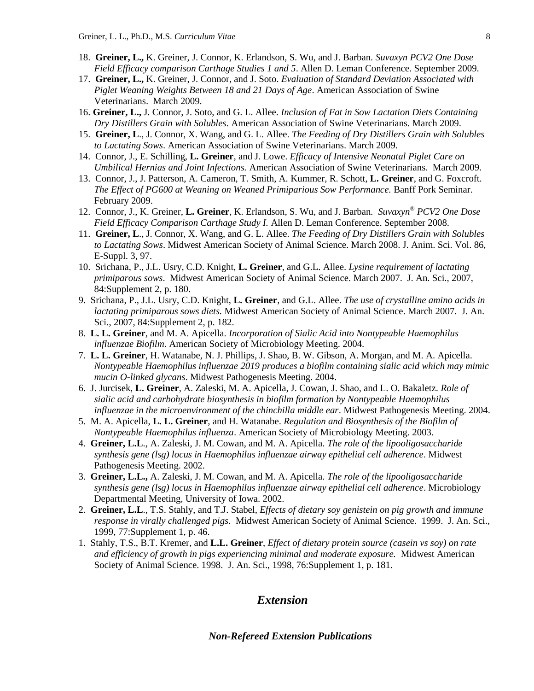- 18. **Greiner, L.,** K. Greiner, J. Connor, K. Erlandson, S. Wu, and J. Barban. *Suvaxyn PCV2 One Dose Field Efficacy comparison Carthage Studies 1 and 5*. Allen D. Leman Conference. September 2009.
- 17. **Greiner, L.,** K. Greiner, J. Connor, and J. Soto. *Evaluation of Standard Deviation Associated with Piglet Weaning Weights Between 18 and 21 Days of Age*. American Association of Swine Veterinarians. March 2009.
- 16. **Greiner, L.,** J. Connor, J. Soto, and G. L. Allee. *Inclusion of Fat in Sow Lactation Diets Containing Dry Distillers Grain with Solubles*. American Association of Swine Veterinarians. March 2009.
- 15. **Greiner, L**., J. Connor, X. Wang, and G. L. Allee. *The Feeding of Dry Distillers Grain with Solubles to Lactating Sows*. American Association of Swine Veterinarians. March 2009.
- 14. Connor, J., E. Schilling, **L. Greiner**, and J. Lowe. *Efficacy of Intensive Neonatal Piglet Care on Umbilical Hernias and Joint Infections.* American Association of Swine Veterinarians. March 2009.
- 13. Connor, J., J. Patterson, A. Cameron, T. Smith, A. Kummer, R. Schott, **L. Greiner**, and G. Foxcroft. *The Effect of PG600 at Weaning on Weaned Primiparious Sow Performance.* Banff Pork Seminar. February 2009.
- 12. Connor, J., K. Greiner, **L. Greiner**, K. Erlandson, S. Wu, and J. Barban*. Suvaxyn® PCV2 One Dose Field Efficacy Comparison Carthage Study I.* Allen D. Leman Conference. September 2008.
- 11. **Greiner, L**., J. Connor, X. Wang, and G. L. Allee. *The Feeding of Dry Distillers Grain with Solubles to Lactating Sows*. Midwest American Society of Animal Science. March 2008. J. Anim. Sci. Vol. 86, E-Suppl. 3, 97.
- 10. Srichana, P., J.L. Usry, C.D. Knight, **L. Greiner**, and G.L. Allee. *Lysine requirement of lactating primiparous sows*. Midwest American Society of Animal Science. March 2007. J. An. Sci., 2007, 84:Supplement 2, p. 180.
- 9. Srichana, P., J.L. Usry, C.D. Knight, **L. Greiner**, and G.L. Allee. *The use of crystalline amino acids in lactating primiparous sows diets.* Midwest American Society of Animal Science. March 2007. J. An. Sci., 2007, 84:Supplement 2, p. 182.
- 8. **L. L. Greiner**, and M. A. Apicella. *Incorporation of Sialic Acid into Nontypeable Haemophilus influenzae Biofilm*. American Society of Microbiology Meeting. 2004.
- 7. **L. L. Greiner**, H. Watanabe, N. J. Phillips, J. Shao, B. W. Gibson, A. Morgan, and M. A. Apicella. *Nontypeable Haemophilus influenzae 2019 produces a biofilm containing sialic acid which may mimic mucin O-linked glycans*. Midwest Pathogenesis Meeting. 2004.
- 6. J. Jurcisek, **L. Greiner**, A. Zaleski, M. A. Apicella, J. Cowan, J. Shao, and L. O. Bakaletz. *Role of sialic acid and carbohydrate biosynthesis in biofilm formation by Nontypeable Haemophilus influenzae in the microenvironment of the chinchilla middle ear*. Midwest Pathogenesis Meeting. 2004.
- 5. M. A. Apicella, **L. L. Greiner**, and H. Watanabe. *Regulation and Biosynthesis of the Biofilm of Nontypeable Haemophilus influenza*. American Society of Microbiology Meeting. 2003.
- 4. **Greiner, L.L**., A. Zaleski, J. M. Cowan, and M. A. Apicella. *The role of the lipooligosaccharide synthesis gene (lsg) locus in Haemophilus influenzae airway epithelial cell adherence*. Midwest Pathogenesis Meeting. 2002.
- 3. **Greiner, L.L.,** A. Zaleski, J. M. Cowan, and M. A. Apicella. *The role of the lipooligosaccharide synthesis gene (lsg) locus in Haemophilus influenzae airway epithelial cell adherence*. Microbiology Departmental Meeting, University of Iowa. 2002.
- 2. **Greiner, L.L**., T.S. Stahly, and T.J. Stabel, *Effects of dietary soy genistein on pig growth and immune response in virally challenged pigs*. Midwest American Society of Animal Science. 1999. J. An. Sci., 1999, 77:Supplement 1, p. 46.
- 1. Stahly, T.S., B.T. Kremer, and **L.L. Greiner**, *Effect of dietary protein source (casein vs soy) on rate and efficiency of growth in pigs experiencing minimal and moderate exposure.* Midwest American Society of Animal Science. 1998. J. An. Sci., 1998, 76:Supplement 1, p. 181.

# *Extension*

*Non-Refereed Extension Publications*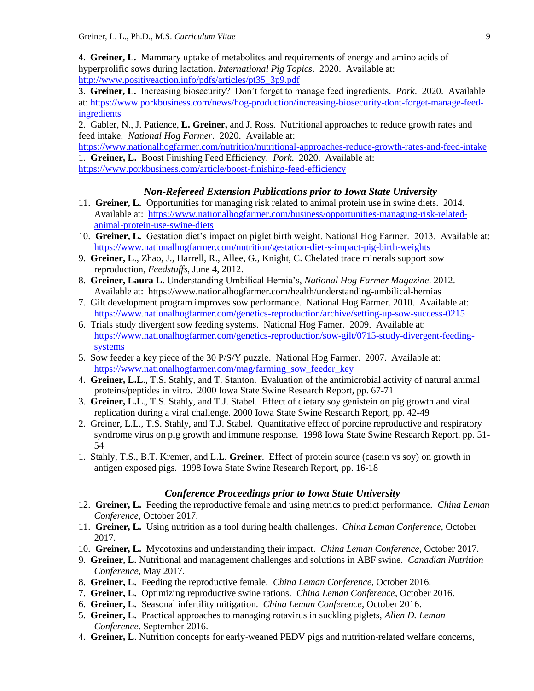4. **Greiner, L.** Mammary uptake of metabolites and requirements of energy and amino acids of hyperprolific sows during lactation. *International Pig Topics*. 2020. Available at: [http://www.positiveaction.info/pdfs/articles/pt35\\_3p9.pdf](http://www.positiveaction.info/pdfs/articles/pt35_3p9.pdf)

3. **Greiner, L.** Increasing biosecurity? Don't forget to manage feed ingredients. *Pork*. 2020. Available at[: https://www.porkbusiness.com/news/hog-production/increasing-biosecurity-dont-forget-manage-feed](https://www.porkbusiness.com/news/hog-production/increasing-biosecurity-dont-forget-manage-feed-ingredients)[ingredients](https://www.porkbusiness.com/news/hog-production/increasing-biosecurity-dont-forget-manage-feed-ingredients)

2. Gabler, N., J. Patience, **L. Greiner,** and J. Ross. Nutritional approaches to reduce growth rates and feed intake. *National Hog Farmer*. 2020. Available at:

<https://www.nationalhogfarmer.com/nutrition/nutritional-approaches-reduce-growth-rates-and-feed-intake> 1. **Greiner, L.** Boost Finishing Feed Efficiency. *Pork*. 2020. Available at: <https://www.porkbusiness.com/article/boost-finishing-feed-efficiency>

# *Non-Refereed Extension Publications prior to Iowa State University*

- 11. **Greiner, L.** Opportunities for managing risk related to animal protein use in swine diets. 2014. Available at: [https://www.nationalhogfarmer.com/business/opportunities-managing-risk-related](https://www.nationalhogfarmer.com/business/opportunities-managing-risk-related-animal-protein-use-swine-diets)[animal-protein-use-swine-diets](https://www.nationalhogfarmer.com/business/opportunities-managing-risk-related-animal-protein-use-swine-diets)
- 10. **Greiner, L.** Gestation diet's impact on piglet birth weight. National Hog Farmer. 2013. Available at: <https://www.nationalhogfarmer.com/nutrition/gestation-diet-s-impact-pig-birth-weights>
- 9. **Greiner, L**., Zhao, J., Harrell, R., Allee, G., Knight, C. Chelated trace minerals support sow reproduction, *Feedstuffs*, June 4, 2012.
- 8. **Greiner, Laura L.** Understanding Umbilical Hernia's, *National Hog Farmer Magazine*. 2012. Available at: https://www.nationalhogfarmer.com/health/understanding-umbilical-hernias
- 7. Gilt development program improves sow performance. National Hog Farmer. 2010. Available at: <https://www.nationalhogfarmer.com/genetics-reproduction/archive/setting-up-sow-success-0215>
- 6. Trials study divergent sow feeding systems. National Hog Famer. 2009. Available at: [https://www.nationalhogfarmer.com/genetics-reproduction/sow-gilt/0715-study-divergent-feeding](https://www.nationalhogfarmer.com/genetics-reproduction/sow-gilt/0715-study-divergent-feeding-systems)[systems](https://www.nationalhogfarmer.com/genetics-reproduction/sow-gilt/0715-study-divergent-feeding-systems)
- 5. Sow feeder a key piece of the 30 P/S/Y puzzle. National Hog Farmer. 2007. Available at: [https://www.nationalhogfarmer.com/mag/farming\\_sow\\_feeder\\_key](https://www.nationalhogfarmer.com/mag/farming_sow_feeder_key)
- 4. **Greiner, L.L**., T.S. Stahly, and T. Stanton. Evaluation of the antimicrobial activity of natural animal proteins/peptides in vitro. 2000 Iowa State Swine Research Report, pp. 67-71
- 3. **Greiner, L.L**., T.S. Stahly, and T.J. Stabel. Effect of dietary soy genistein on pig growth and viral replication during a viral challenge. 2000 Iowa State Swine Research Report, pp. 42-49
- 2. Greiner, L.L., T.S. Stahly, and T.J. Stabel. Quantitative effect of porcine reproductive and respiratory syndrome virus on pig growth and immune response. 1998 Iowa State Swine Research Report, pp. 51- 54
- 1. Stahly, T.S., B.T. Kremer, and L.L. **Greiner**. Effect of protein source (casein vs soy) on growth in antigen exposed pigs. 1998 Iowa State Swine Research Report, pp. 16-18

# *Conference Proceedings prior to Iowa State University*

- 12. **Greiner, L.** Feeding the reproductive female and using metrics to predict performance. *China Leman Conference*, October 2017.
- 11. **Greiner, L.** Using nutrition as a tool during health challenges. *China Leman Conference*, October 2017.
- 10. **Greiner, L.** Mycotoxins and understanding their impact. *China Leman Conference*, October 2017.
- 9. **Greiner, L.** Nutritional and management challenges and solutions in ABF swine. *Canadian Nutrition Conference,* May 2017.
- 8. **Greiner, L.** Feeding the reproductive female. *China Leman Conference*, October 2016.
- 7. **Greiner, L.** Optimizing reproductive swine rations. *China Leman Conference*, October 2016.
- 6. **Greiner, L.** Seasonal infertility mitigation. *China Leman Conference*, October 2016.
- 5. **Greiner, L.** Practical approaches to managing rotavirus in suckling piglets, *Allen D. Leman Conference*. September 2016.
- 4. **Greiner, L**. Nutrition concepts for early-weaned PEDV pigs and nutrition-related welfare concerns,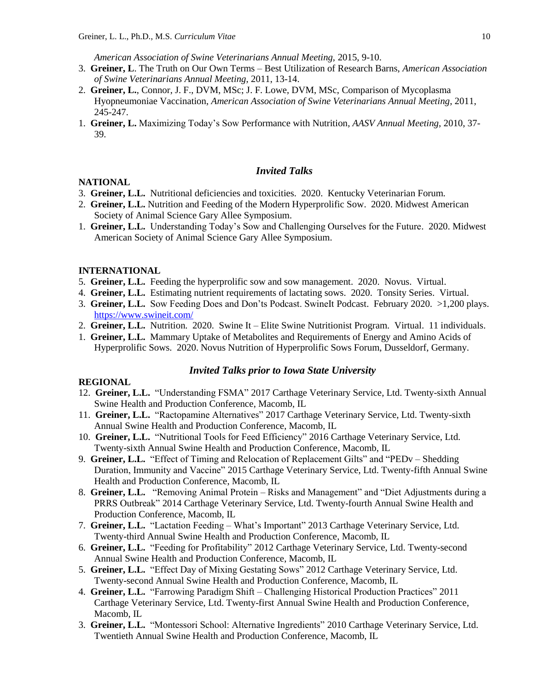*American Association of Swine Veterinarians Annual Meeting,* 2015, 9-10.

- 3. **Greiner, L**. The Truth on Our Own Terms Best Utilization of Research Barns, *American Association of Swine Veterinarians Annual Meeting*, 2011, 13-14.
- 2. **Greiner, L.**, Connor, J. F., DVM, MSc; J. F. Lowe, DVM, MSc, Comparison of Mycoplasma Hyopneumoniae Vaccination, *American Association of Swine Veterinarians Annual Meeting*, 2011, 245-247.
- 1. **Greiner, L.** Maximizing Today's Sow Performance with Nutrition*, AASV Annual Meeting*, 2010, 37- 39.

## *Invited Talks*

## **NATIONAL**

- 3. **Greiner, L.L.** Nutritional deficiencies and toxicities. 2020. Kentucky Veterinarian Forum.
- 2. **Greiner, L.L.** Nutrition and Feeding of the Modern Hyperprolific Sow. 2020. Midwest American Society of Animal Science Gary Allee Symposium.
- 1. **Greiner, L.L.** Understanding Today's Sow and Challenging Ourselves for the Future. 2020. Midwest American Society of Animal Science Gary Allee Symposium.

## **INTERNATIONAL**

- 5. **Greiner, L.L.** Feeding the hyperprolific sow and sow management. 2020. Novus. Virtual.
- 4. **Greiner, L.L.** Estimating nutrient requirements of lactating sows. 2020. Tonsity Series. Virtual.
- 3. **Greiner, L.L.** Sow Feeding Does and Don'ts Podcast. SwineIt Podcast. February 2020. >1,200 plays. <https://www.swineit.com/>
- 2. **Greiner, L.L.** Nutrition. 2020. Swine It Elite Swine Nutritionist Program. Virtual. 11 individuals.
- 1. **Greiner, L.L.** Mammary Uptake of Metabolites and Requirements of Energy and Amino Acids of Hyperprolific Sows. 2020. Novus Nutrition of Hyperprolific Sows Forum, Dusseldorf, Germany.

## *Invited Talks prior to Iowa State University*

## **REGIONAL**

- 12. **Greiner, L.L.** "Understanding FSMA" 2017 Carthage Veterinary Service, Ltd. Twenty-sixth Annual Swine Health and Production Conference, Macomb, IL
- 11. **Greiner, L.L.** "Ractopamine Alternatives" 2017 Carthage Veterinary Service, Ltd. Twenty-sixth Annual Swine Health and Production Conference, Macomb, IL
- 10. **Greiner, L.L.** "Nutritional Tools for Feed Efficiency" 2016 Carthage Veterinary Service, Ltd. Twenty-sixth Annual Swine Health and Production Conference, Macomb, IL
- 9. **Greiner, L.L.** "Effect of Timing and Relocation of Replacement Gilts" and "PEDv Shedding Duration, Immunity and Vaccine" 2015 Carthage Veterinary Service, Ltd. Twenty-fifth Annual Swine Health and Production Conference, Macomb, IL
- 8. **Greiner, L.L.** "Removing Animal Protein Risks and Management" and "Diet Adjustments during a PRRS Outbreak" 2014 Carthage Veterinary Service, Ltd. Twenty-fourth Annual Swine Health and Production Conference, Macomb, IL
- 7. **Greiner, L.L.** "Lactation Feeding What's Important" 2013 Carthage Veterinary Service, Ltd. Twenty-third Annual Swine Health and Production Conference, Macomb, IL
- 6. **Greiner, L.L.** "Feeding for Profitability" 2012 Carthage Veterinary Service, Ltd. Twenty-second Annual Swine Health and Production Conference, Macomb, IL
- 5. **Greiner, L.L.** "Effect Day of Mixing Gestating Sows" 2012 Carthage Veterinary Service, Ltd. Twenty-second Annual Swine Health and Production Conference, Macomb, IL
- 4. **Greiner, L.L.** "Farrowing Paradigm Shift Challenging Historical Production Practices" 2011 Carthage Veterinary Service, Ltd. Twenty-first Annual Swine Health and Production Conference, Macomb, IL
- 3. **Greiner, L.L.** "Montessori School: Alternative Ingredients" 2010 Carthage Veterinary Service, Ltd. Twentieth Annual Swine Health and Production Conference, Macomb, IL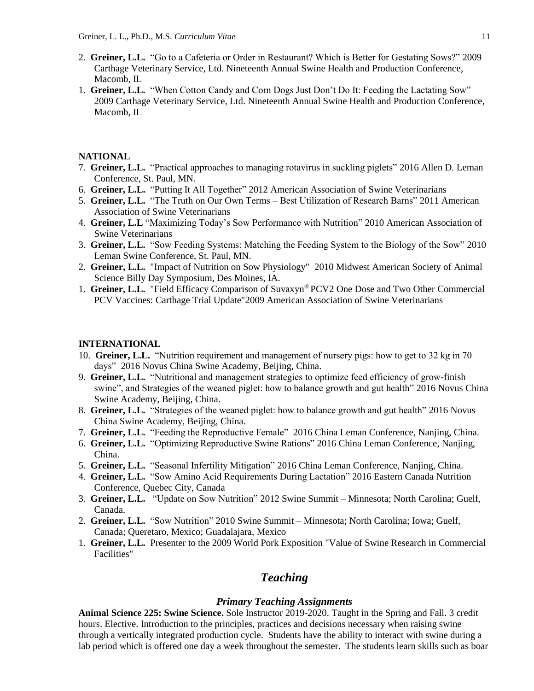- 2. **Greiner, L.L.** "Go to a Cafeteria or Order in Restaurant? Which is Better for Gestating Sows?" 2009 Carthage Veterinary Service, Ltd. Nineteenth Annual Swine Health and Production Conference, Macomb, IL
- 1. **Greiner, L.L.** "When Cotton Candy and Corn Dogs Just Don't Do It: Feeding the Lactating Sow" 2009 Carthage Veterinary Service, Ltd. Nineteenth Annual Swine Health and Production Conference, Macomb, IL

## **NATIONAL**

- 7. **Greiner, L.L.** "Practical approaches to managing rotavirus in suckling piglets" 2016 Allen D. Leman Conference, St. Paul, MN.
- 6. **Greiner, L.L.** "Putting It All Together" 2012 American Association of Swine Veterinarians
- 5. **Greiner, L.L.** "The Truth on Our Own Terms Best Utilization of Research Barns" 2011 American Association of Swine Veterinarians
- 4. **Greiner, L.L** "Maximizing Today's Sow Performance with Nutrition" 2010 American Association of Swine Veterinarians
- 3. **Greiner, L.L.** "Sow Feeding Systems: Matching the Feeding System to the Biology of the Sow" 2010 Leman Swine Conference, St. Paul, MN.
- 2. **Greiner, L.L.** "Impact of Nutrition on Sow Physiology" 2010 Midwest American Society of Animal Science Billy Day Symposium, Des Moines, IA.
- 1. **Greiner, L.L.** "Field Efficacy Comparison of Suvaxyn® PCV2 One Dose and Two Other Commercial PCV Vaccines: Carthage Trial Update"2009 American Association of Swine Veterinarians

#### **INTERNATIONAL**

- 10. **Greiner, L.L.** "Nutrition requirement and management of nursery pigs: how to get to 32 kg in 70 days" 2016 Novus China Swine Academy, Beijing, China.
- 9. **Greiner, L.L.** "Nutritional and management strategies to optimize feed efficiency of grow-finish swine", and Strategies of the weaned piglet: how to balance growth and gut health" 2016 Novus China Swine Academy, Beijing, China.
- 8. **Greiner, L.L.** "Strategies of the weaned piglet: how to balance growth and gut health" 2016 Novus China Swine Academy, Beijing, China.
- 7. **Greiner, L.L.** "Feeding the Reproductive Female" 2016 China Leman Conference, Nanjing, China.
- 6. **Greiner, L.L.** "Optimizing Reproductive Swine Rations" 2016 China Leman Conference, Nanjing, China.
- 5. **Greiner, L.L.** "Seasonal Infertility Mitigation" 2016 China Leman Conference, Nanjing, China.
- 4. **Greiner, L.L.** "Sow Amino Acid Requirements During Lactation" 2016 Eastern Canada Nutrition Conference, Quebec City, Canada
- 3. **Greiner, L.L.** "Update on Sow Nutrition" 2012 Swine Summit Minnesota; North Carolina; Guelf, Canada.
- 2. **Greiner, L.L.** "Sow Nutrition" 2010 Swine Summit Minnesota; North Carolina; Iowa; Guelf, Canada; Queretaro, Mexico; Guadalajara, Mexico
- 1. **Greiner, L.L.** Presenter to the 2009 World Pork Exposition "Value of Swine Research in Commercial Facilities"

# *Teaching*

## *Primary Teaching Assignments*

**Animal Science 225: Swine Science.** Sole Instructor 2019-2020. Taught in the Spring and Fall. 3 credit hours. Elective. Introduction to the principles, practices and decisions necessary when raising swine through a vertically integrated production cycle. Students have the ability to interact with swine during a lab period which is offered one day a week throughout the semester. The students learn skills such as boar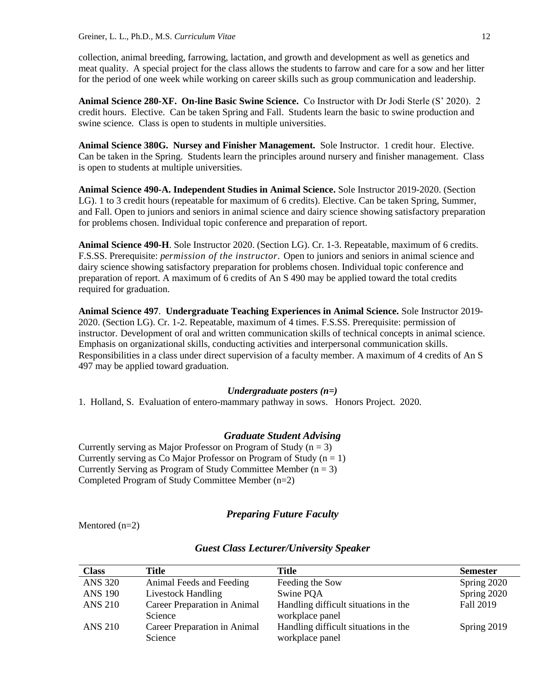collection, animal breeding, farrowing, lactation, and growth and development as well as genetics and meat quality. A special project for the class allows the students to farrow and care for a sow and her litter for the period of one week while working on career skills such as group communication and leadership.

**Animal Science 280-XF. On-line Basic Swine Science.** Co Instructor with Dr Jodi Sterle (S' 2020). 2 credit hours. Elective. Can be taken Spring and Fall. Students learn the basic to swine production and swine science. Class is open to students in multiple universities.

**Animal Science 380G. Nursey and Finisher Management.** Sole Instructor. 1 credit hour. Elective. Can be taken in the Spring. Students learn the principles around nursery and finisher management. Class is open to students at multiple universities.

**Animal Science 490-A. Independent Studies in Animal Science.** Sole Instructor 2019-2020. (Section LG). 1 to 3 credit hours (repeatable for maximum of 6 credits). Elective. Can be taken Spring, Summer, and Fall. Open to juniors and seniors in animal science and dairy science showing satisfactory preparation for problems chosen. Individual topic conference and preparation of report.

**Animal Science 490-H**. Sole Instructor 2020. (Section LG). Cr. 1-3. Repeatable, maximum of 6 credits. F.S.SS. Prerequisite: *permission of the instructor.* Open to juniors and seniors in animal science and dairy science showing satisfactory preparation for problems chosen. Individual topic conference and preparation of report. A maximum of 6 credits of An S 490 may be applied toward the total credits required for graduation.

**Animal Science 497**. **Undergraduate Teaching Experiences in Animal Science.** Sole Instructor 2019- 2020. (Section LG). Cr. 1-2. Repeatable, maximum of 4 times. F.S.SS. Prerequisite: permission of instructor. Development of oral and written communication skills of technical concepts in animal science. Emphasis on organizational skills, conducting activities and interpersonal communication skills. Responsibilities in a class under direct supervision of a faculty member. A maximum of 4 credits of An S 497 may be applied toward graduation.

#### *Undergraduate posters (n=)*

1. Holland, S. Evaluation of entero-mammary pathway in sows. Honors Project. 2020.

#### *Graduate Student Advising*

Currently serving as Major Professor on Program of Study  $(n = 3)$ Currently serving as Co Major Professor on Program of Study  $(n = 1)$ Currently Serving as Program of Study Committee Member  $(n = 3)$ Completed Program of Study Committee Member (n=2)

## *Preparing Future Faculty*

Mentored (n=2)

| <b>Class</b>   | Title                        | Title                                | <b>Semester</b> |
|----------------|------------------------------|--------------------------------------|-----------------|
| <b>ANS 320</b> | Animal Feeds and Feeding     | Feeding the Sow                      | Spring 2020     |
| <b>ANS 190</b> | <b>Livestock Handling</b>    | Swine POA                            | Spring 2020     |
| ANS 210        | Career Preparation in Animal | Handling difficult situations in the | Fall 2019       |
|                | Science                      | workplace panel                      |                 |
| <b>ANS 210</b> | Career Preparation in Animal | Handling difficult situations in the | Spring 2019     |
|                | Science                      | workplace panel                      |                 |

### *Guest Class Lecturer/University Speaker*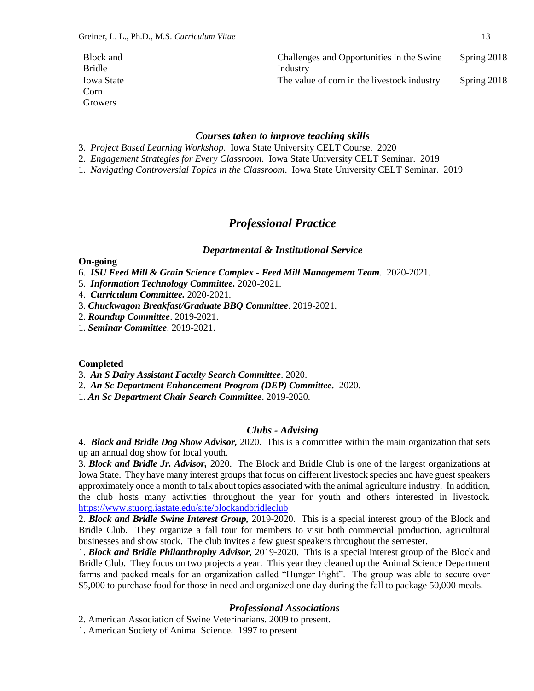| Block and         | Challenges and Opportunities in the Swine   | Spring 2018 |
|-------------------|---------------------------------------------|-------------|
| <b>Bridle</b>     | Industry                                    |             |
| <b>Iowa State</b> | The value of corn in the livestock industry | Spring 2018 |
| Corn              |                                             |             |
| Growers           |                                             |             |

#### *Courses taken to improve teaching skills*

- 3. *Project Based Learning Workshop*. Iowa State University CELT Course. 2020
- 2. *Engagement Strategies for Every Classroom*. Iowa State University CELT Seminar. 2019
- 1. *Navigating Controversial Topics in the Classroom*. Iowa State University CELT Seminar. 2019

## *Professional Practice*

#### *Departmental & Institutional Service*

#### **On-going**

- 6. *ISU Feed Mill & Grain Science Complex - Feed Mill Management Team.* 2020-2021.
- 5. *Information Technology Committee.* 2020-2021.
- 4. *Curriculum Committee.* 2020-2021.
- 3. *Chuckwagon Breakfast/Graduate BBQ Committee*. 2019-2021.
- 2. *Roundup Committee*. 2019-2021.
- 1. *Seminar Committee*. 2019-2021.

#### **Completed**

- 3. *An S Dairy Assistant Faculty Search Committee*. 2020.
- 2. *An Sc Department Enhancement Program (DEP) Committee.* 2020.
- 1. *An Sc Department Chair Search Committee*. 2019-2020.

### *Clubs - Advising*

4. *Block and Bridle Dog Show Advisor,* 2020. This is a committee within the main organization that sets up an annual dog show for local youth.

3. *Block and Bridle Jr. Advisor,* 2020. The Block and Bridle Club is one of the largest organizations at Iowa State. They have many interest groups that focus on different livestock species and have guest speakers approximately once a month to talk about topics associated with the animal agriculture industry. In addition, the club hosts many activities throughout the year for youth and others interested in livestock. <https://www.stuorg.iastate.edu/site/blockandbridleclub>

2. *Block and Bridle Swine Interest Group,* 2019-2020. This is a special interest group of the Block and Bridle Club. They organize a fall tour for members to visit both commercial production, agricultural businesses and show stock. The club invites a few guest speakers throughout the semester.

1. *Block and Bridle Philanthrophy Advisor,* 2019-2020. This is a special interest group of the Block and Bridle Club. They focus on two projects a year. This year they cleaned up the Animal Science Department farms and packed meals for an organization called "Hunger Fight". The group was able to secure over \$5,000 to purchase food for those in need and organized one day during the fall to package 50,000 meals.

#### *Professional Associations*

2. American Association of Swine Veterinarians. 2009 to present.

1. American Society of Animal Science. 1997 to present